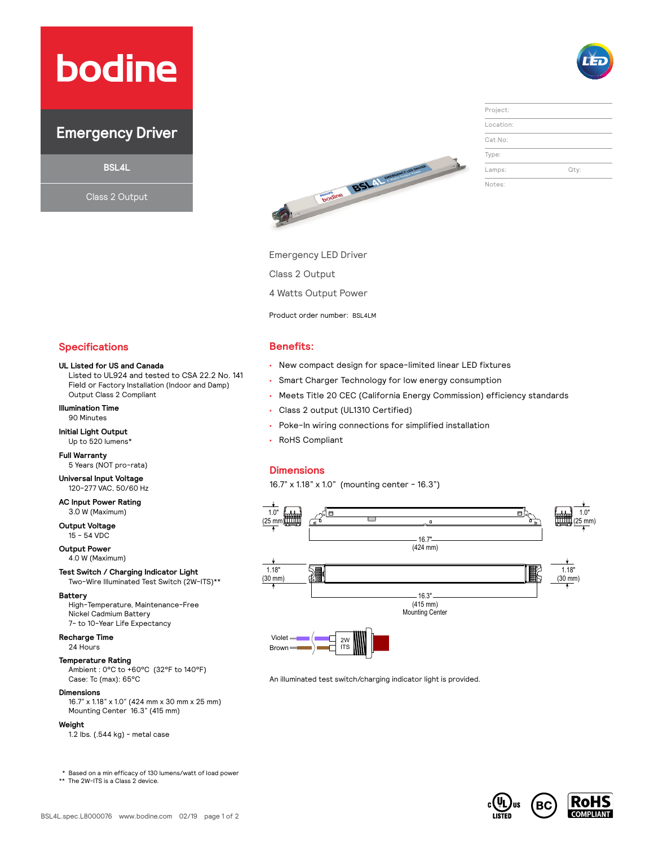# **bodine**

### **Emergency Driver**

**BSL4L**

Class 2 Output





| Project:  |      |
|-----------|------|
| Location: |      |
| Cat.No:   |      |
| Type:     |      |
| Lamps:    | Qty: |
| Notes:    |      |

Emergency LED Driver

Class 2 Output

4 Watts Output Power

Product order number: BSL4LM

- New compact design for space-limited linear LED fixtures
- Smart Charger Technology for low energy consumption
- Meets Title 20 CEC (California Energy Commission) efficiency standards
- Class 2 output (UL1310 Certified)
- Poke-In wiring connections for simplified installation
- RoHS Compliant

#### **Dimensions**

16.7" x 1.18" x 1.0" (mounting center - 16.3")



An illuminated test switch/charging indicator light is provided.

#### **Specifications Benefits:**

#### **UL Listed for US and Canada**

Listed to UL924 and tested to CSA 22.2 No. 141 Field or Factory Installation (Indoor and Damp) Output Class 2 Compliant

**Illumination Time** 90 Minutes

#### **Initial Light Output** Up to 520 lumens\*

**Full Warranty** 5 Years (NOT pro-rata)

**Universal Input Voltage** 120-277 VAC, 50/60 Hz

**AC Input Power Rating** 3.0 W (Maximum)

**Output Voltage** 15 - 54 VDC

**Output Power** 4.0 W (Maximum)

**Test Switch / Charging Indicator Light** Two-Wire Illuminated Test Switch (2W-ITS)\*\*

**Battery**

High-Temperature, Maintenance-Free Nickel Cadmium Battery 7- to 10-Year Life Expectancy

**Recharge Time**

24 Hours

#### **Temperature Rating**

Ambient : 0°C to +60°C (32°F to 140°F) Case: Tc (max): 65°C

#### **Dimensions**

16.7" x 1.18" x 1.0" (424 mm x 30 mm x 25 mm) Mounting Center 16.3" (415 mm)

#### **Weight**

1.2 lbs. (.544 kg) - metal case

\* Based on a min efficacy of 130 lumens/watt of load power

\*\* The 2W-ITS is a Class 2 device.